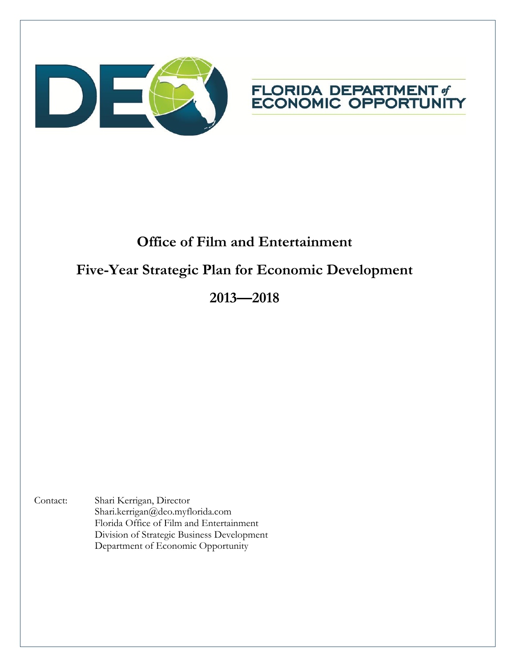

# **FLORIDA DEPARTMENT of<br>ECONOMIC OPPORTUNITY**

# **Office of Film and Entertainment**

# **Five-Year Strategic Plan for Economic Development**

**2013—2018**

Contact: Shari Kerrigan, Director Shari.kerrigan@deo.myflorida.com Florida Office of Film and Entertainment Division of Strategic Business Development Department of Economic Opportunity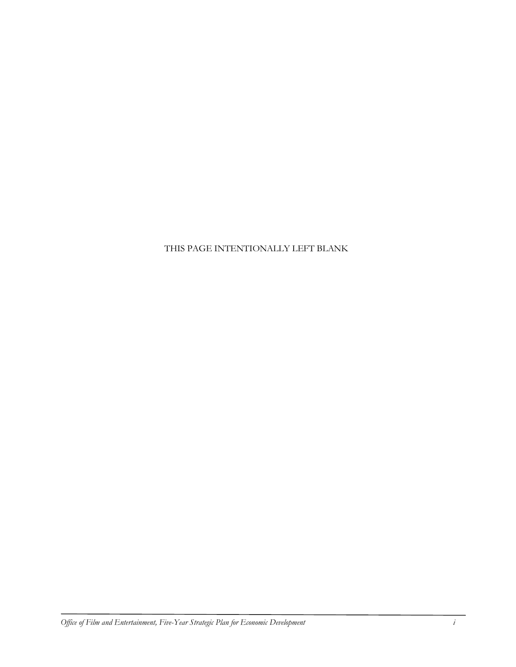THIS PAGE INTENTIONALLY LEFT BLANK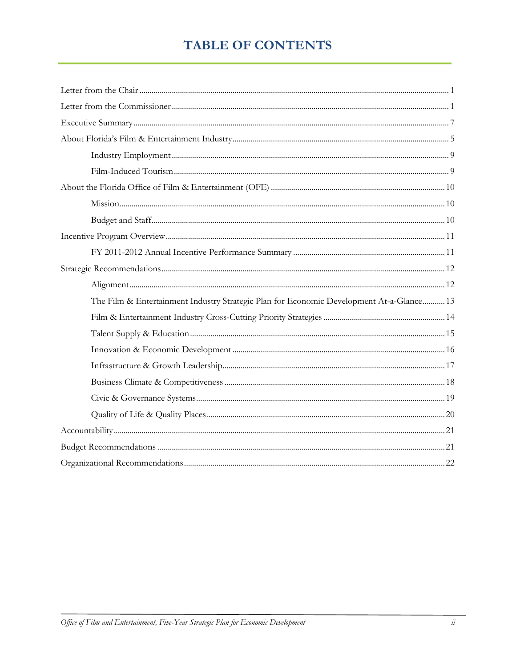# **TABLE OF CONTENTS**

| The Film & Entertainment Industry Strategic Plan for Economic Development At-a-Glance 13 |
|------------------------------------------------------------------------------------------|
|                                                                                          |
|                                                                                          |
|                                                                                          |
|                                                                                          |
|                                                                                          |
|                                                                                          |
|                                                                                          |
|                                                                                          |
|                                                                                          |
|                                                                                          |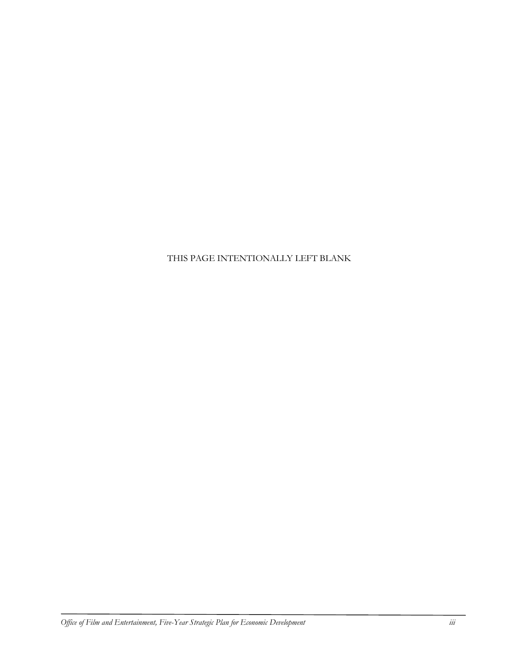#### THIS PAGE INTENTIONALLY LEFT BLANK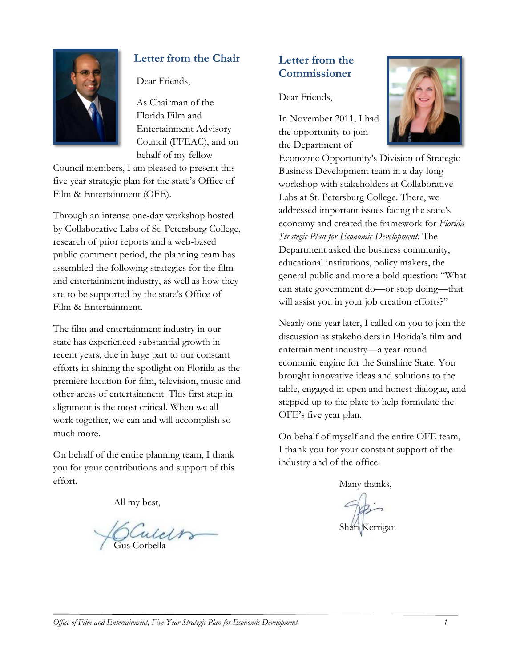

# **Letter from the Chair**

Dear Friends,

As Chairman of the Florida Film and Entertainment Advisory Council (FFEAC), and on behalf of my fellow

Council members, I am pleased to present this five year strategic plan for the state's Office of Film & Entertainment (OFE).

Through an intense one-day workshop hosted by Collaborative Labs of St. Petersburg College, research of prior reports and a web-based public comment period, the planning team has assembled the following strategies for the film and entertainment industry, as well as how they are to be supported by the state's Office of Film & Entertainment.

The film and entertainment industry in our state has experienced substantial growth in recent years, due in large part to our constant efforts in shining the spotlight on Florida as the premiere location for film, television, music and other areas of entertainment. This first step in alignment is the most critical. When we all work together, we can and will accomplish so much more.

On behalf of the entire planning team, I thank you for your contributions and support of this effort.

All my best,

Tulcho

# **Letter from the Commissioner**

Dear Friends,

In November 2011, I had the opportunity to join the Department of



Economic Opportunity's Division of Strategic Business Development team in a day-long workshop with stakeholders at Collaborative Labs at St. Petersburg College. There, we addressed important issues facing the state's economy and created the framework for *Florida Strategic Plan for Economic Development*. The Department asked the business community, educational institutions, policy makers, the general public and more a bold question: "What can state government do—or stop doing—that will assist you in your job creation efforts?"

Nearly one year later, I called on you to join the discussion as stakeholders in Florida's film and entertainment industry—a year-round economic engine for the Sunshine State. You brought innovative ideas and solutions to the table, engaged in open and honest dialogue, and stepped up to the plate to help formulate the OFE's five year plan.

On behalf of myself and the entire OFE team, I thank you for your constant support of the industry and of the office.

Many thanks,

Shari Kerrigan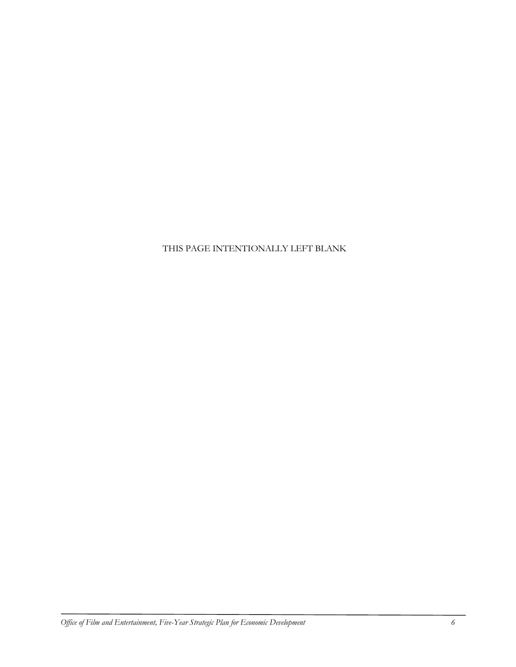THIS PAGE INTENTIONALLY LEFT BLANK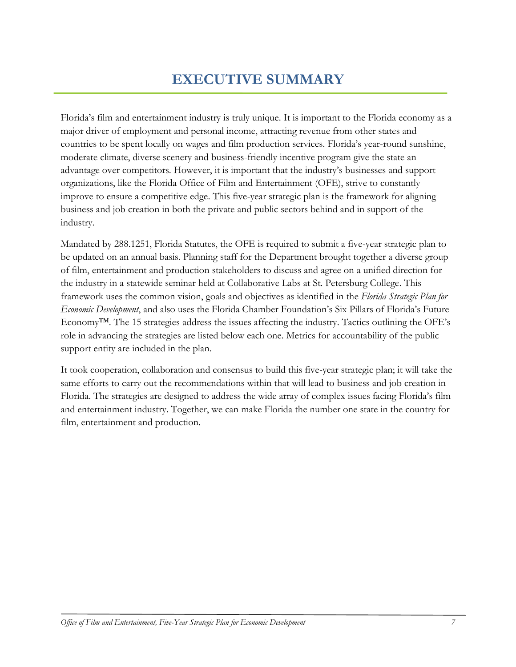# **EXECUTIVE SUMMARY**

Florida's film and entertainment industry is truly unique. It is important to the Florida economy as a major driver of employment and personal income, attracting revenue from other states and countries to be spent locally on wages and film production services. Florida's year-round sunshine, moderate climate, diverse scenery and business-friendly incentive program give the state an advantage over competitors. However, it is important that the industry's businesses and support organizations, like the Florida Office of Film and Entertainment (OFE), strive to constantly improve to ensure a competitive edge. This five-year strategic plan is the framework for aligning business and job creation in both the private and public sectors behind and in support of the industry.

Mandated by 288.1251, Florida Statutes, the OFE is required to submit a five-year strategic plan to be updated on an annual basis. Planning staff for the Department brought together a diverse group of film, entertainment and production stakeholders to discuss and agree on a unified direction for the industry in a statewide seminar held at Collaborative Labs at St. Petersburg College. This framework uses the common vision, goals and objectives as identified in the *Florida Strategic Plan for Economic Development*, and also uses the Florida Chamber Foundation's Six Pillars of Florida's Future Economy™. The 15 strategies address the issues affecting the industry. Tactics outlining the OFE's role in advancing the strategies are listed below each one. Metrics for accountability of the public support entity are included in the plan.

It took cooperation, collaboration and consensus to build this five-year strategic plan; it will take the same efforts to carry out the recommendations within that will lead to business and job creation in Florida. The strategies are designed to address the wide array of complex issues facing Florida's film and entertainment industry. Together, we can make Florida the number one state in the country for film, entertainment and production.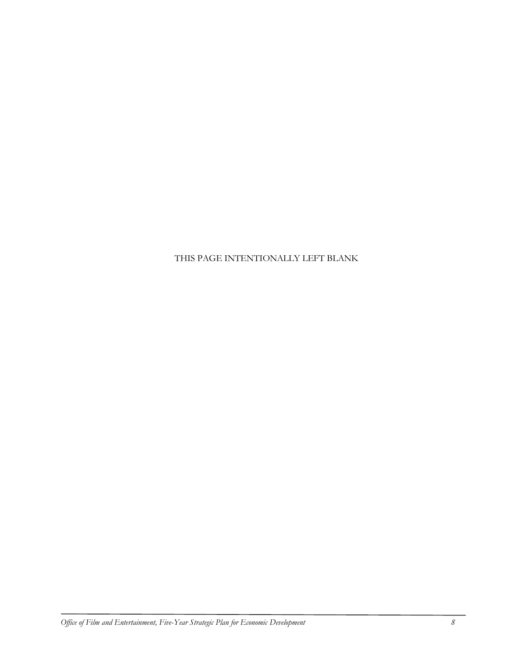## THIS PAGE INTENTIONALLY LEFT BLANK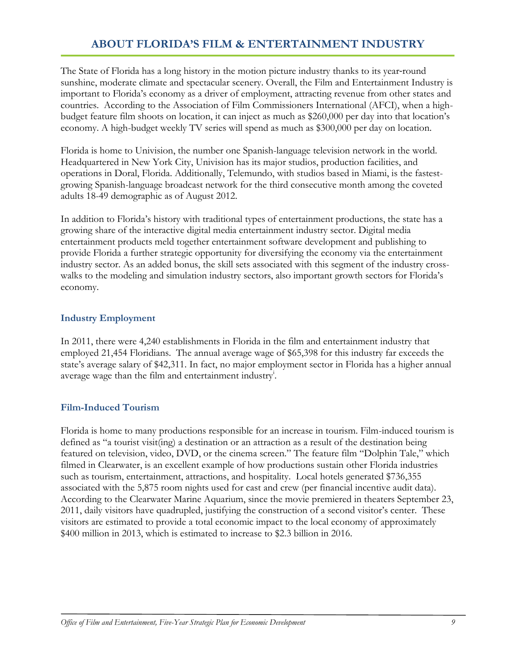# **ABOUT FLORIDA'S FILM & ENTERTAINMENT INDUSTRY**

The State of Florida has a long history in the motion picture industry thanks to its year-round sunshine, moderate climate and spectacular scenery. Overall, the Film and Entertainment Industry is important to Florida's economy as a driver of employment, attracting revenue from other states and countries. According to the Association of Film Commissioners International (AFCI), when a highbudget feature film shoots on location, it can inject as much as \$260,000 per day into that location's economy. A high-budget weekly TV series will spend as much as \$300,000 per day on location.

Florida is home to Univision, the number one Spanish-language television network in the world. Headquartered in New York City, Univision has its major studios, production facilities, and operations in Doral, Florida. Additionally, Telemundo, with studios based in Miami, is the fastestgrowing Spanish-language broadcast network for the third consecutive month among the coveted adults 18-49 demographic as of August 2012.

In addition to Florida's history with traditional types of entertainment productions, the state has a growing share of the interactive digital media entertainment industry sector. Digital media entertainment products meld together entertainment software development and publishing to provide Florida a further strategic opportunity for diversifying the economy via the entertainment industry sector. As an added bonus, the skill sets associated with this segment of the industry crosswalks to the modeling and simulation industry sectors, also important growth sectors for Florida's economy.

#### **Industry Employment**

In 2011, there were 4,240 establishments in Florida in the film and entertainment industry that employed 21,454 Floridians. The annual average wage of \$65,398 for this industry far exceeds the state's average salary of \$42,311. In fact, no major employment sector in Florida has a higher annual average wage than the film and entertainment industry<sup>i</sup>.

#### **Film-Induced Tourism**

Florida is home to many productions responsible for an increase in tourism. Film-induced tourism is defined as "a tourist visit(ing) a destination or an attraction as a result of the destination being featured on television, video, DVD, or the cinema screen." The feature film "Dolphin Tale," which filmed in Clearwater, is an excellent example of how productions sustain other Florida industries such as tourism, entertainment, attractions, and hospitality. Local hotels generated \$736,355 associated with the 5,875 room nights used for cast and crew (per financial incentive audit data). According to the Clearwater Marine Aquarium, since the movie premiered in theaters September 23, 2011, daily visitors have quadrupled, justifying the construction of a second visitor's center. These visitors are estimated to provide a total economic impact to the local economy of approximately \$400 million in 2013, which is estimated to increase to \$2.3 billion in 2016.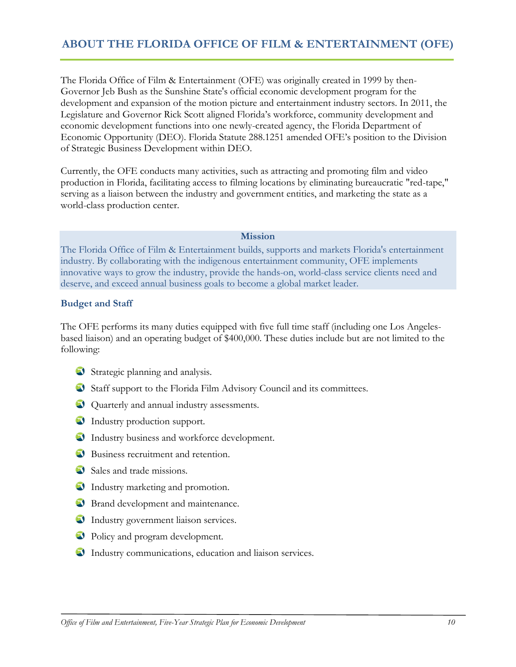The Florida Office of Film & Entertainment (OFE) was originally created in 1999 by then-Governor Jeb Bush as the Sunshine State's official economic development program for the development and expansion of the motion picture and entertainment industry sectors. In 2011, the Legislature and Governor Rick Scott aligned Florida's workforce, community development and economic development functions into one newly-created agency, the Florida Department of Economic Opportunity (DEO). Florida Statute 288.1251 amended OFE's position to the Division of Strategic Business Development within DEO.

Currently, the OFE conducts many activities, such as attracting and promoting film and video production in Florida, facilitating access to filming locations by eliminating bureaucratic "red-tape," serving as a liaison between the industry and government entities, and marketing the state as a world-class production center.

#### **Mission**

The Florida Office of Film & Entertainment builds, supports and markets Florida's entertainment industry. By collaborating with the indigenous entertainment community, OFE implements innovative ways to grow the industry, provide the hands-on, world-class service clients need and deserve, and exceed annual business goals to become a global market leader.

#### **Budget and Staff**

The OFE performs its many duties equipped with five full time staff (including one Los Angelesbased liaison) and an operating budget of \$400,000. These duties include but are not limited to the following:

- Strategic planning and analysis.
- Staff support to the Florida Film Advisory Council and its committees.
- Quarterly and annual industry assessments.
- $\bullet$  Industry production support.
- **Industry business and workforce development.**
- Business recruitment and retention.
- Sales and trade missions.
- $\bullet$  Industry marketing and promotion.
- **Brand development and maintenance.**
- **Industry government liaison services.**
- $\bullet$  Policy and program development.
- Industry communications, education and liaison services.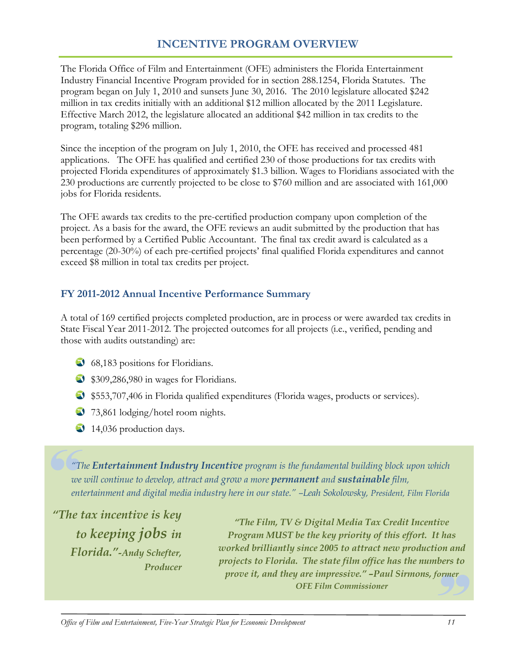# **INCENTIVE PROGRAM OVERVIEW**

The Florida Office of Film and Entertainment (OFE) administers the Florida Entertainment Industry Financial Incentive Program provided for in section 288.1254, Florida Statutes. The program began on July 1, 2010 and sunsets June 30, 2016. The 2010 legislature allocated \$242 million in tax credits initially with an additional \$12 million allocated by the 2011 Legislature. Effective March 2012, the legislature allocated an additional \$42 million in tax credits to the program, totaling \$296 million.

Since the inception of the program on July 1, 2010, the OFE has received and processed 481 applications. The OFE has qualified and certified 230 of those productions for tax credits with projected Florida expenditures of approximately \$1.3 billion. Wages to Floridians associated with the 230 productions are currently projected to be close to \$760 million and are associated with 161,000 jobs for Florida residents.

The OFE awards tax credits to the pre-certified production company upon completion of the project. As a basis for the award, the OFE reviews an audit submitted by the production that has been performed by a Certified Public Accountant. The final tax credit award is calculated as a percentage (20-30%) of each pre-certified projects' final qualified Florida expenditures and cannot exceed \$8 million in total tax credits per project.

## **FY 2011-2012 Annual Incentive Performance Summary**

A total of 169 certified projects completed production, are in process or were awarded tax credits in State Fiscal Year 2011-2012. The projected outcomes for all projects (i.e., verified, pending and those with audits outstanding) are:

- 68,183 positions for Floridians.
- \$309,286,980 in wages for Floridians.
- $\bullet$  \$553,707,406 in Florida qualified expenditures (Florida wages, products or services).
- 1 73,861 lodging/hotel room nights.
- $14,036$  production days.

6 *"The Entertainment Industry Incentive program is the fundamental building block upon which we will continue to develop, attract and grow a more permanent and sustainable film, entertainment and digital media industry here in our state." –Leah Sokolowsky, President, Film Florida* 

*"The tax incentive is key to keeping jobs in Florida."-Andy Schefter, Producer*

*prove it, and they are impressive."* –*Paul Sirmons, former*<br> *OFE Film Commissioner*<br> *m for Economic Development "The Film, TV & Digital Media Tax Credit Incentive Program MUST be the key priority of this effort. It has worked brilliantly since 2005 to attract new production and projects to Florida. The state film office has the numbers to OFE Film Commissioner*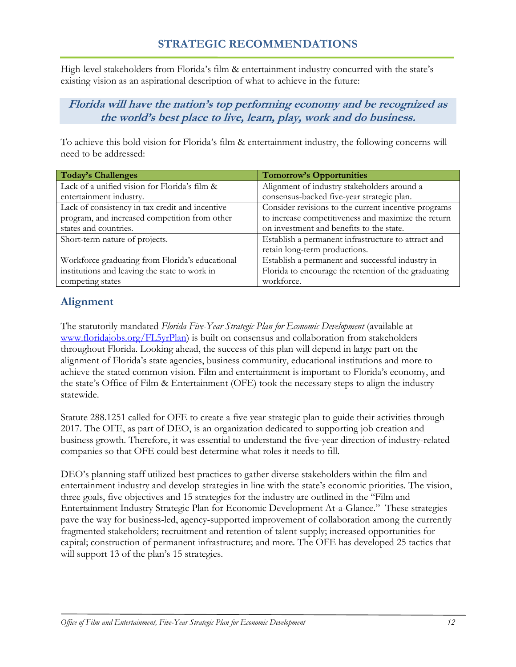# **STRATEGIC RECOMMENDATIONS**

High-level stakeholders from Florida's film & entertainment industry concurred with the state's existing vision as an aspirational description of what to achieve in the future:

#### **Florida will have the nation's top performing economy and be recognized as the world's best place to live, learn, play, work and do business.**

To achieve this bold vision for Florida's film & entertainment industry, the following concerns will need to be addressed:

| <b>Today's Challenges</b>                       | <b>Tomorrow's Opportunities</b>                      |
|-------------------------------------------------|------------------------------------------------------|
| Lack of a unified vision for Florida's film &   | Alignment of industry stakeholders around a          |
| entertainment industry.                         | consensus-backed five-year strategic plan.           |
| Lack of consistency in tax credit and incentive | Consider revisions to the current incentive programs |
| program, and increased competition from other   | to increase competitiveness and maximize the return  |
| states and countries.                           | on investment and benefits to the state.             |
| Short-term nature of projects.                  | Establish a permanent infrastructure to attract and  |
|                                                 | retain long-term productions.                        |
| Workforce graduating from Florida's educational | Establish a permanent and successful industry in     |
| institutions and leaving the state to work in   | Florida to encourage the retention of the graduating |
| competing states                                | workforce.                                           |

# **Alignment**

The statutorily mandated *Florida Five-Year Strategic Plan for Economic Development* (available at [www.floridajobs.org/FL5yrPlan\)](http://www.floridajobs.org/FL5yrPlan) is built on consensus and collaboration from stakeholders throughout Florida. Looking ahead, the success of this plan will depend in large part on the alignment of Florida's state agencies, business community, educational institutions and more to achieve the stated common vision. Film and entertainment is important to Florida's economy, and the state's Office of Film & Entertainment (OFE) took the necessary steps to align the industry statewide.

Statute 288.1251 called for OFE to create a five year strategic plan to guide their activities through 2017. The OFE, as part of DEO, is an organization dedicated to supporting job creation and business growth. Therefore, it was essential to understand the five-year direction of industry-related companies so that OFE could best determine what roles it needs to fill.

DEO's planning staff utilized best practices to gather diverse stakeholders within the film and entertainment industry and develop strategies in line with the state's economic priorities. The vision, three goals, five objectives and 15 strategies for the industry are outlined in the "Film and Entertainment Industry Strategic Plan for Economic Development At-a-Glance." These strategies pave the way for business-led, agency-supported improvement of collaboration among the currently fragmented stakeholders; recruitment and retention of talent supply; increased opportunities for capital; construction of permanent infrastructure; and more. The OFE has developed 25 tactics that will support 13 of the plan's 15 strategies.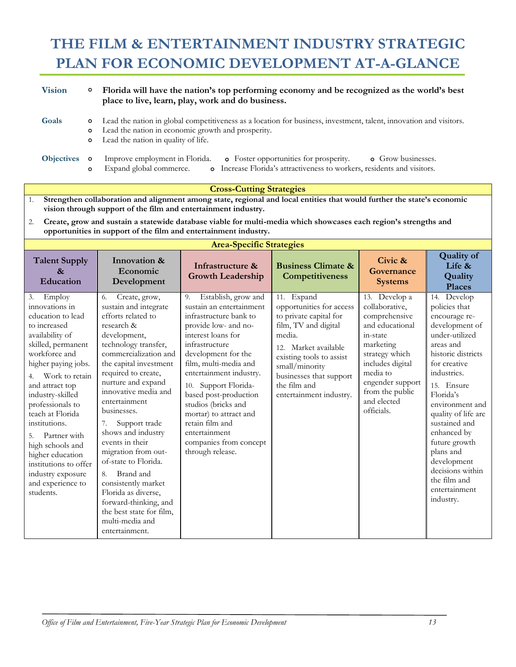# **THE FILM & ENTERTAINMENT INDUSTRY STRATEGIC PLAN FOR ECONOMIC DEVELOPMENT AT-A-GLANCE**

#### **Vision Florida will have the nation's top performing economy and be recognized as the world's best place to live, learn, play, work and do business.**

Goals **Competitiveness** as a location for business, investment, talent, innovation and visitors. Lead the nation in economic growth and prosperity.  $\circ$ Lead the nation in quality of life.  $\circ$ **Objectives o** Improve employment in Florida. **o** Foster opportunities for prosperity. **o** Grow businesses.

Expand global commerce.  $\bullet$  Increase Florida's attractiveness to workers, residents and visitors.  $\circ$ 

#### **Cross-Cutting Strategies**

1. **Strengthen collaboration and alignment among state, regional and local entities that would further the state's economic vision through support of the film and entertainment industry.**

2. **Create, grow and sustain a statewide database viable for multi-media which showcases each region's strengths and opportunities in support of the film and entertainment industry.**

| <b>Area-Specific Strategies</b>                                                                                                                                                                                                                                                                                                                                                                                      |                                                                                                                                                                                                                                                                                                                                                                                                                                                                                                                                                            |                                                                                                                                                                                                                                                                                                                                                                                                                |                                                                                                                                                                                                                                                   |                                                                                                                                                                                                                    |                                                                                                                                                                                                                                                                                                                                                                         |  |
|----------------------------------------------------------------------------------------------------------------------------------------------------------------------------------------------------------------------------------------------------------------------------------------------------------------------------------------------------------------------------------------------------------------------|------------------------------------------------------------------------------------------------------------------------------------------------------------------------------------------------------------------------------------------------------------------------------------------------------------------------------------------------------------------------------------------------------------------------------------------------------------------------------------------------------------------------------------------------------------|----------------------------------------------------------------------------------------------------------------------------------------------------------------------------------------------------------------------------------------------------------------------------------------------------------------------------------------------------------------------------------------------------------------|---------------------------------------------------------------------------------------------------------------------------------------------------------------------------------------------------------------------------------------------------|--------------------------------------------------------------------------------------------------------------------------------------------------------------------------------------------------------------------|-------------------------------------------------------------------------------------------------------------------------------------------------------------------------------------------------------------------------------------------------------------------------------------------------------------------------------------------------------------------------|--|
| <b>Talent Supply</b><br>$\&$<br>Education                                                                                                                                                                                                                                                                                                                                                                            | Innovation &<br>Economic<br>Development                                                                                                                                                                                                                                                                                                                                                                                                                                                                                                                    | Infrastructure &<br><b>Growth Leadership</b>                                                                                                                                                                                                                                                                                                                                                                   | <b>Business Climate &amp;</b><br><b>Competitiveness</b>                                                                                                                                                                                           | Civic &<br>Governance<br><b>Systems</b>                                                                                                                                                                            | <b>Quality of</b><br>Life $\&$<br>Quality<br><b>Places</b>                                                                                                                                                                                                                                                                                                              |  |
| Employ<br>3.<br>innovations in<br>education to lead<br>to increased<br>availability of<br>skilled, permanent<br>workforce and<br>higher paying jobs.<br>Work to retain<br>and attract top<br>industry-skilled<br>professionals to<br>teach at Florida<br>institutions.<br>Partner with<br>5.<br>high schools and<br>higher education<br>institutions to offer<br>industry exposure<br>and experience to<br>students. | Create, grow,<br>6.<br>sustain and integrate<br>efforts related to<br>research &<br>development,<br>technology transfer,<br>commercialization and<br>the capital investment<br>required to create,<br>nurture and expand<br>innovative media and<br>entertainment<br>businesses.<br>Support trade<br>7.<br>shows and industry<br>events in their<br>migration from out-<br>of-state to Florida.<br>Brand and<br>8.<br>consistently market<br>Florida as diverse,<br>forward-thinking, and<br>the best state for film,<br>multi-media and<br>entertainment. | Establish, grow and<br>9.<br>sustain an entertainment<br>infrastructure bank to<br>provide low- and no-<br>interest loans for<br>infrastructure<br>development for the<br>film, multi-media and<br>entertainment industry.<br>10. Support Florida-<br>based post-production<br>studios (bricks and<br>mortar) to attract and<br>retain film and<br>entertainment<br>companies from concept<br>through release. | 11. Expand<br>opportunities for access<br>to private capital for<br>film, TV and digital<br>media.<br>Market available<br>12.<br>existing tools to assist<br>small/minority<br>businesses that support<br>the film and<br>entertainment industry. | 13. Develop a<br>collaborative,<br>comprehensive<br>and educational<br>in-state<br>marketing<br>strategy which<br>includes digital<br>media to<br>engender support<br>from the public<br>and elected<br>officials. | 14. Develop<br>policies that<br>encourage re-<br>development of<br>under-utilized<br>areas and<br>historic districts<br>for creative<br>industries.<br>15. Ensure<br>Florida's<br>environment and<br>quality of life are<br>sustained and<br>enhanced by<br>future growth<br>plans and<br>development<br>decisions within<br>the film and<br>entertainment<br>industry. |  |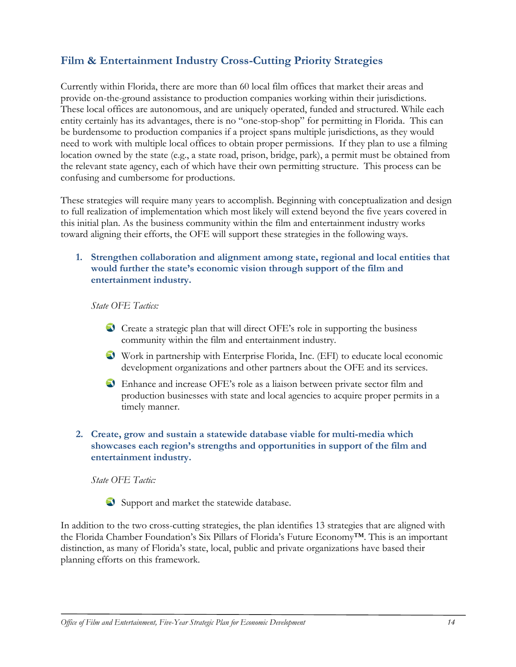# **Film & Entertainment Industry Cross-Cutting Priority Strategies**

Currently within Florida, there are more than 60 local film offices that market their areas and provide on-the-ground assistance to production companies working within their jurisdictions. These local offices are autonomous, and are uniquely operated, funded and structured. While each entity certainly has its advantages, there is no "one-stop-shop" for permitting in Florida. This can be burdensome to production companies if a project spans multiple jurisdictions, as they would need to work with multiple local offices to obtain proper permissions. If they plan to use a filming location owned by the state (e.g., a state road, prison, bridge, park), a permit must be obtained from the relevant state agency, each of which have their own permitting structure. This process can be confusing and cumbersome for productions.

These strategies will require many years to accomplish. Beginning with conceptualization and design to full realization of implementation which most likely will extend beyond the five years covered in this initial plan. As the business community within the film and entertainment industry works toward aligning their efforts, the OFE will support these strategies in the following ways.

**1. Strengthen collaboration and alignment among state, regional and local entities that would further the state's economic vision through support of the film and entertainment industry.**

*State OFE Tactics:* 

- Create a strategic plan that will direct OFE's role in supporting the business community within the film and entertainment industry.
- Work in partnership with Enterprise Florida, Inc. (EFI) to educate local economic development organizations and other partners about the OFE and its services.
- Enhance and increase OFE's role as a liaison between private sector film and production businesses with state and local agencies to acquire proper permits in a timely manner.

#### **2. Create, grow and sustain a statewide database viable for multi-media which showcases each region's strengths and opportunities in support of the film and entertainment industry.**

*State OFE Tactic:*

Support and market the statewide database.

In addition to the two cross-cutting strategies, the plan identifies 13 strategies that are aligned with the Florida Chamber Foundation's Six Pillars of Florida's Future Economy™. This is an important distinction, as many of Florida's state, local, public and private organizations have based their planning efforts on this framework.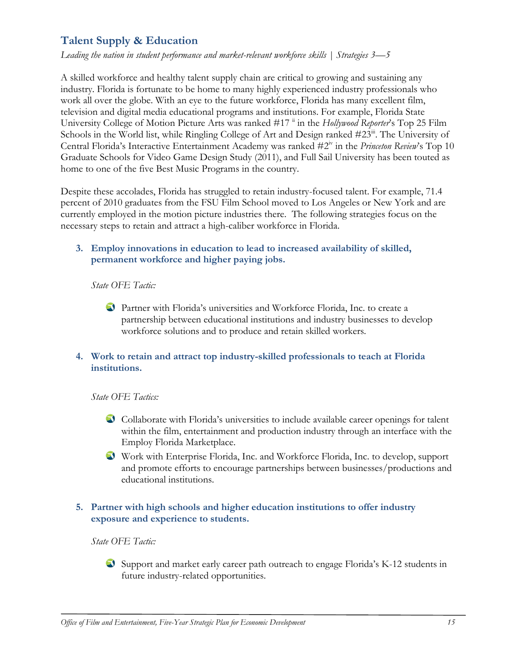# **Talent Supply & Education**

*Leading the nation in student performance and market-relevant workforce skills | Strategies 3—5* 

A skilled workforce and healthy talent supply chain are critical to growing and sustaining any industry. Florida is fortunate to be home to many highly experienced industry professionals who work all over the globe. With an eye to the future workforce, Florida has many excellent film, television and digital media educational programs and institutions. For example, Florida State University College of Motion Picture Arts was ranked #17<sup>"</sup> in the *Hollywood Reporter's* Top 25 Film Schools in the World list, while Ringling College of Art and Design ranked #23<sup>ii</sup>. The University of Central Florida's Interactive Entertainment Academy was ranked #2iv in the *Princeton Review*'s Top 10 Graduate Schools for Video Game Design Study (2011), and Full Sail University has been touted as home to one of the five Best Music Programs in the country.

Despite these accolades, Florida has struggled to retain industry-focused talent. For example, 71.4 percent of 2010 graduates from the FSU Film School moved to Los Angeles or New York and are currently employed in the motion picture industries there. The following strategies focus on the necessary steps to retain and attract a high-caliber workforce in Florida.

#### **3. Employ innovations in education to lead to increased availability of skilled, permanent workforce and higher paying jobs.**

#### *State OFE Tactic:*

Partner with Florida's universities and Workforce Florida, Inc. to create a partnership between educational institutions and industry businesses to develop workforce solutions and to produce and retain skilled workers.

#### **4. Work to retain and attract top industry-skilled professionals to teach at Florida institutions.**

#### *State OFE Tactics:*

- Collaborate with Florida's universities to include available career openings for talent within the film, entertainment and production industry through an interface with the Employ Florida Marketplace.
- Work with Enterprise Florida, Inc. and Workforce Florida, Inc. to develop, support and promote efforts to encourage partnerships between businesses/productions and educational institutions.

#### **5. Partner with high schools and higher education institutions to offer industry exposure and experience to students.**

#### *State OFE Tactic:*

Support and market early career path outreach to engage Florida's K-12 students in future industry-related opportunities.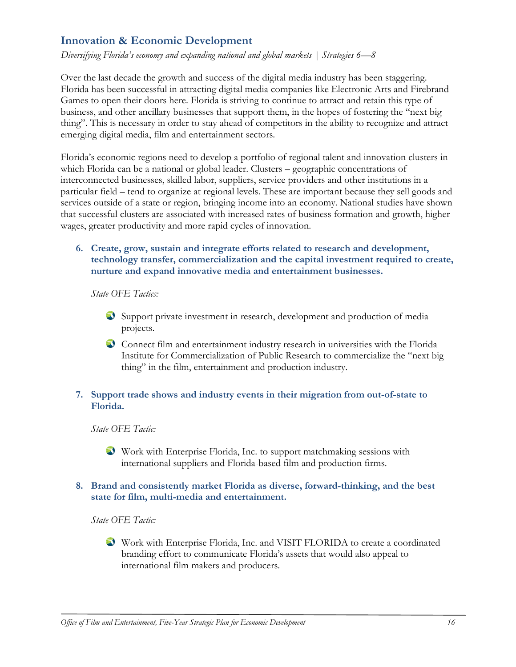## **Innovation & Economic Development**

*Diversifying Florida's economy and expanding national and global markets | Strategies 6—8* 

Over the last decade the growth and success of the digital media industry has been staggering. Florida has been successful in attracting digital media companies like Electronic Arts and Firebrand Games to open their doors here. Florida is striving to continue to attract and retain this type of business, and other ancillary businesses that support them, in the hopes of fostering the "next big thing". This is necessary in order to stay ahead of competitors in the ability to recognize and attract emerging digital media, film and entertainment sectors.

Florida's economic regions need to develop a portfolio of regional talent and innovation clusters in which Florida can be a national or global leader. Clusters – geographic concentrations of interconnected businesses, skilled labor, suppliers, service providers and other institutions in a particular field – tend to organize at regional levels. These are important because they sell goods and services outside of a state or region, bringing income into an economy. National studies have shown that successful clusters are associated with increased rates of business formation and growth, higher wages, greater productivity and more rapid cycles of innovation.

**6. Create, grow, sustain and integrate efforts related to research and development, technology transfer, commercialization and the capital investment required to create, nurture and expand innovative media and entertainment businesses.** 

*State OFE Tactics:*

- Support private investment in research, development and production of media projects.
- Connect film and entertainment industry research in universities with the Florida Institute for Commercialization of Public Research to commercialize the "next big thing" in the film, entertainment and production industry.

#### **7. Support trade shows and industry events in their migration from out-of-state to Florida.**

#### *State OFE Tactic:*

Work with Enterprise Florida, Inc. to support matchmaking sessions with international suppliers and Florida-based film and production firms.

#### **8. Brand and consistently market Florida as diverse, forward-thinking, and the best state for film, multi-media and entertainment.**

*State OFE Tactic:*

Work with Enterprise Florida, Inc. and VISIT FLORIDA to create a coordinated branding effort to communicate Florida's assets that would also appeal to international film makers and producers.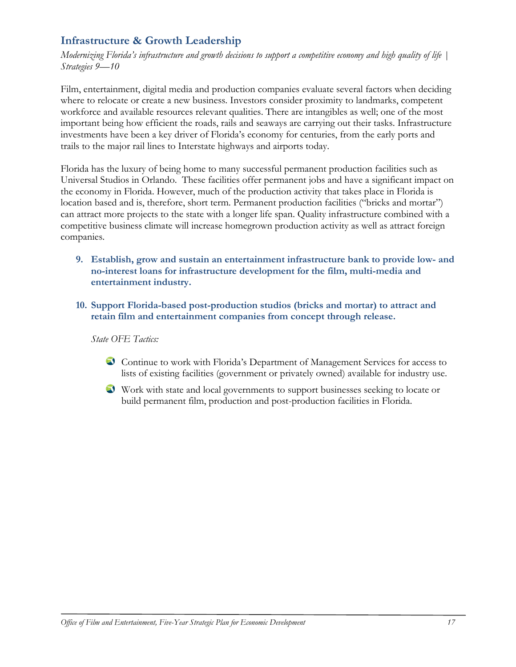# **Infrastructure & Growth Leadership**

*Modernizing Florida's infrastructure and growth decisions to support a competitive economy and high quality of life | Strategies 9—10* 

Film, entertainment, digital media and production companies evaluate several factors when deciding where to relocate or create a new business. Investors consider proximity to landmarks, competent workforce and available resources relevant qualities. There are intangibles as well; one of the most important being how efficient the roads, rails and seaways are carrying out their tasks. Infrastructure investments have been a key driver of Florida's economy for centuries, from the early ports and trails to the major rail lines to Interstate highways and airports today.

Florida has the luxury of being home to many successful permanent production facilities such as Universal Studios in Orlando. These facilities offer permanent jobs and have a significant impact on the economy in Florida. However, much of the production activity that takes place in Florida is location based and is, therefore, short term. Permanent production facilities ("bricks and mortar") can attract more projects to the state with a longer life span. Quality infrastructure combined with a competitive business climate will increase homegrown production activity as well as attract foreign companies.

- **9. Establish, grow and sustain an entertainment infrastructure bank to provide low- and no-interest loans for infrastructure development for the film, multi-media and entertainment industry.**
- **10. Support Florida-based post-production studios (bricks and mortar) to attract and retain film and entertainment companies from concept through release.**

#### *State OFE Tactics:*

- Continue to work with Florida's Department of Management Services for access to lists of existing facilities (government or privately owned) available for industry use.
- Work with state and local governments to support businesses seeking to locate or build permanent film, production and post-production facilities in Florida.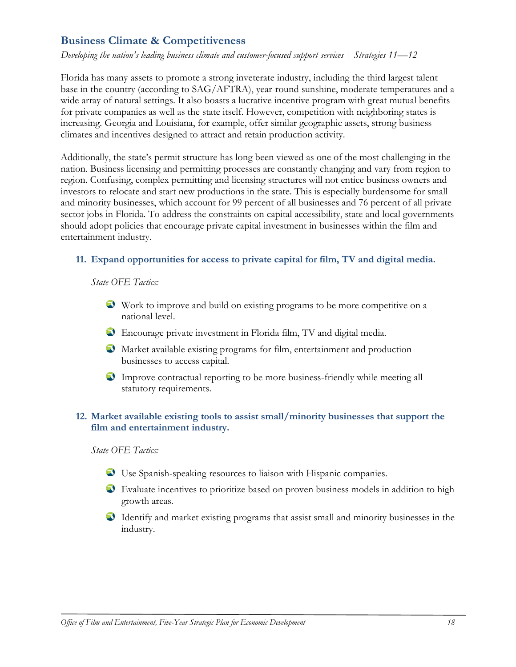## **Business Climate & Competitiveness**

*Developing the nation's leading business climate and customer-focused support services | Strategies 11—12* 

Florida has many assets to promote a strong inveterate industry, including the third largest talent base in the country (according to SAG/AFTRA), year-round sunshine, moderate temperatures and a wide array of natural settings. It also boasts a lucrative incentive program with great mutual benefits for private companies as well as the state itself. However, competition with neighboring states is increasing. Georgia and Louisiana, for example, offer similar geographic assets, strong business climates and incentives designed to attract and retain production activity.

Additionally, the state's permit structure has long been viewed as one of the most challenging in the nation. Business licensing and permitting processes are constantly changing and vary from region to region. Confusing, complex permitting and licensing structures will not entice business owners and investors to relocate and start new productions in the state. This is especially burdensome for small and minority businesses, which account for 99 percent of all businesses and 76 percent of all private sector jobs in Florida. To address the constraints on capital accessibility, state and local governments should adopt policies that encourage private capital investment in businesses within the film and entertainment industry.

#### **11. Expand opportunities for access to private capital for film, TV and digital media.**

*State OFE Tactics:*

- Work to improve and build on existing programs to be more competitive on a national level.
- Encourage private investment in Florida film, TV and digital media.
- $\bullet$  Market available existing programs for film, entertainment and production businesses to access capital.
- Improve contractual reporting to be more business-friendly while meeting all statutory requirements.

#### **12. Market available existing tools to assist small/minority businesses that support the film and entertainment industry.**

*State OFE Tactics:*

- Use Spanish-speaking resources to liaison with Hispanic companies.
- Evaluate incentives to prioritize based on proven business models in addition to high growth areas.
- Identify and market existing programs that assist small and minority businesses in the industry.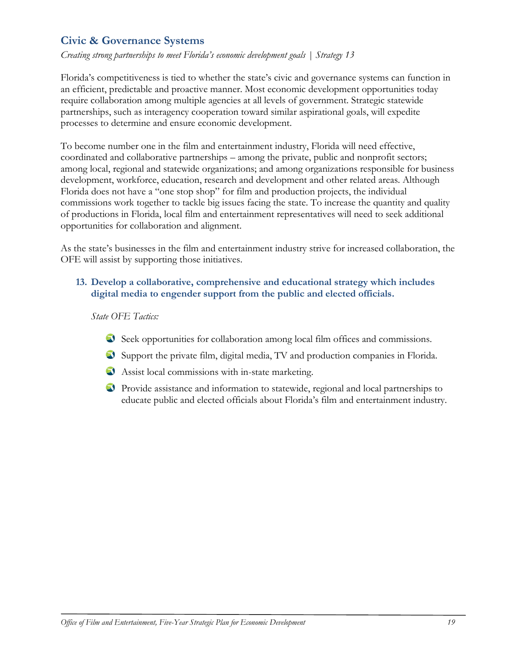# **Civic & Governance Systems**

*Creating strong partnerships to meet Florida's economic development goals | Strategy 13* 

Florida's competitiveness is tied to whether the state's civic and governance systems can function in an efficient, predictable and proactive manner. Most economic development opportunities today require collaboration among multiple agencies at all levels of government. Strategic statewide partnerships, such as interagency cooperation toward similar aspirational goals, will expedite processes to determine and ensure economic development.

To become number one in the film and entertainment industry, Florida will need effective, coordinated and collaborative partnerships – among the private, public and nonprofit sectors; among local, regional and statewide organizations; and among organizations responsible for business development, workforce, education, research and development and other related areas. Although Florida does not have a "one stop shop" for film and production projects, the individual commissions work together to tackle big issues facing the state. To increase the quantity and quality of productions in Florida, local film and entertainment representatives will need to seek additional opportunities for collaboration and alignment.

As the state's businesses in the film and entertainment industry strive for increased collaboration, the OFE will assist by supporting those initiatives.

#### **13. Develop a collaborative, comprehensive and educational strategy which includes digital media to engender support from the public and elected officials.**

*State OFE Tactics:*

- Seek opportunities for collaboration among local film offices and commissions.
- Support the private film, digital media, TV and production companies in Florida.
- Assist local commissions with in-state marketing.
- Provide assistance and information to statewide, regional and local partnerships to educate public and elected officials about Florida's film and entertainment industry.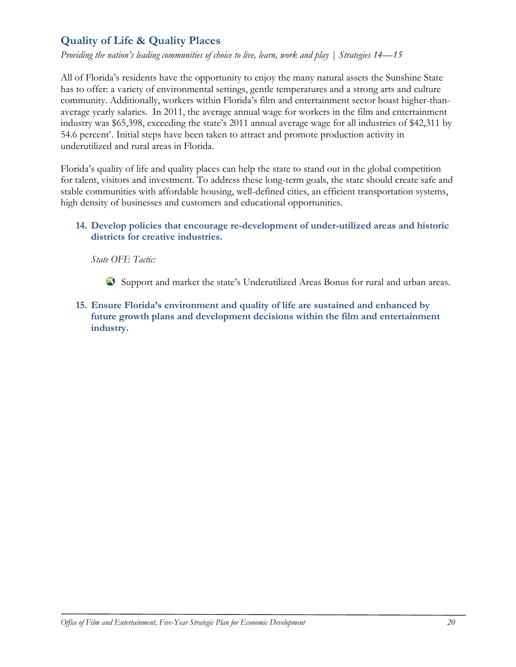# **Quality of Life & Quality Places**

*Providing the nation's leading communities of choice to live, learn, work and play | Strategies 14—15* 

All of Florida's residents have the opportunity to enjoy the many natural assets the Sunshine State has to offer: a variety of environmental settings, gentle temperatures and a strong arts and culture community. Additionally, workers within Florida's film and entertainment sector boast higher-thanaverage yearly salaries. In 2011, the average annual wage for workers in the film and entertainment industry was \$65,398, exceeding the state's 2011 annual average wage for all industries of \$42,311 by 54.6 percent<sup>v</sup>. Initial steps have been taken to attract and promote production activity in underutilized and rural areas in Florida.

Florida's quality of life and quality places can help the state to stand out in the global competition for talent, visitors and investment. To address these long-term goals, the state should create safe and stable communities with affordable housing, well-defined cities, an efficient transportation systems, high density of businesses and customers and educational opportunities.

#### **14. Develop policies that encourage re-development of under-utilized areas and historic districts for creative industries.**

*State OFE Tactic:*

Support and market the state's Underutilized Areas Bonus for rural and urban areas.

**15. Ensure Florida's environment and quality of life are sustained and enhanced by future growth plans and development decisions within the film and entertainment industry.**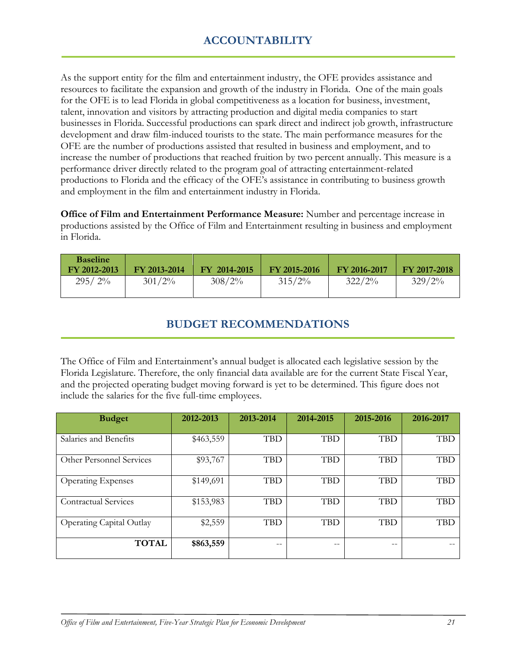As the support entity for the film and entertainment industry, the OFE provides assistance and resources to facilitate the expansion and growth of the industry in Florida. One of the main goals for the OFE is to lead Florida in global competitiveness as a location for business, investment, talent, innovation and visitors by attracting production and digital media companies to start businesses in Florida. Successful productions can spark direct and indirect job growth, infrastructure development and draw film-induced tourists to the state. The main performance measures for the OFE are the number of productions assisted that resulted in business and employment, and to increase the number of productions that reached fruition by two percent annually. This measure is a performance driver directly related to the program goal of attracting entertainment-related productions to Florida and the efficacy of the OFE's assistance in contributing to business growth and employment in the film and entertainment industry in Florida.

**Office of Film and Entertainment Performance Measure:** Number and percentage increase in productions assisted by the Office of Film and Entertainment resulting in business and employment in Florida.

| <b>Baseline</b><br>FY 2012-2013 | FY 2013-2014 | FY 2014-2015 | FY 2015-2016 | FY 2016-2017 | FY 2017-2018 |
|---------------------------------|--------------|--------------|--------------|--------------|--------------|
| $295/2\%$                       | $301/2\%$    | 308/2%       | 315/2%       | 322/2%       | 329/2%       |

# **BUDGET RECOMMENDATIONS**

The Office of Film and Entertainment's annual budget is allocated each legislative session by the Florida Legislature. Therefore, the only financial data available are for the current State Fiscal Year, and the projected operating budget moving forward is yet to be determined. This figure does not include the salaries for the five full-time employees.

| <b>Budget</b>                   | 2012-2013 | 2013-2014  | 2014-2015  | 2015-2016  | 2016-2017  |
|---------------------------------|-----------|------------|------------|------------|------------|
| Salaries and Benefits           | \$463,559 | <b>TBD</b> | <b>TBD</b> | <b>TBD</b> | <b>TBD</b> |
| Other Personnel Services        | \$93,767  | <b>TBD</b> | <b>TBD</b> | <b>TBD</b> | <b>TBD</b> |
| <b>Operating Expenses</b>       | \$149,691 | <b>TBD</b> | <b>TBD</b> | TBD        | <b>TBD</b> |
| <b>Contractual Services</b>     | \$153,983 | <b>TBD</b> | <b>TBD</b> | <b>TBD</b> | <b>TBD</b> |
| <b>Operating Capital Outlay</b> | \$2,559   | <b>TBD</b> | <b>TBD</b> | TBD        | <b>TBD</b> |
| <b>TOTAL</b>                    | \$863,559 | $- -$      | --         | $ -$       |            |